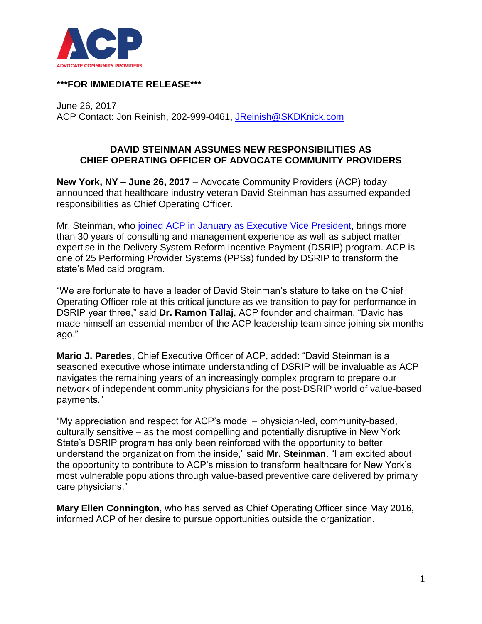

## **\*\*\*FOR IMMEDIATE RELEASE\*\*\***

June 26, 2017 ACP Contact: Jon Reinish, 202-999-0461, [JReinish@SKDKnick.com](mailto:JReinish@SKDKnick.com)

## **DAVID STEINMAN ASSUMES NEW RESPONSIBILITIES AS CHIEF OPERATING OFFICER OF ADVOCATE COMMUNITY PROVIDERS**

**New York, NY – June 26, 2017** – Advocate Community Providers (ACP) today announced that healthcare industry veteran David Steinman has assumed expanded responsibilities as Chief Operating Officer.

Mr. Steinman, who [joined ACP in January as Executive Vice President,](http://www.acppps.org/wp-content/uploads/2016/03/ADVOCATE-COMMUNITY-PROVIDERS-APPOINTS-INDUSTRY-VETERAN-DAVID-STEINMAN-AS-EXECUTIVE-VICE-PRESIDENT.pdf) brings more than 30 years of consulting and management experience as well as subject matter expertise in the Delivery System Reform Incentive Payment (DSRIP) program. ACP is one of 25 Performing Provider Systems (PPSs) funded by DSRIP to transform the state's Medicaid program.

"We are fortunate to have a leader of David Steinman's stature to take on the Chief Operating Officer role at this critical juncture as we transition to pay for performance in DSRIP year three," said **Dr. Ramon Tallaj**, ACP founder and chairman. "David has made himself an essential member of the ACP leadership team since joining six months ago."

**Mario J. Paredes**, Chief Executive Officer of ACP, added: "David Steinman is a seasoned executive whose intimate understanding of DSRIP will be invaluable as ACP navigates the remaining years of an increasingly complex program to prepare our network of independent community physicians for the post-DSRIP world of value-based payments."

"My appreciation and respect for ACP's model – physician-led, community-based, culturally sensitive – as the most compelling and potentially disruptive in New York State's DSRIP program has only been reinforced with the opportunity to better understand the organization from the inside," said **Mr. Steinman**. "I am excited about the opportunity to contribute to ACP's mission to transform healthcare for New York's most vulnerable populations through value-based preventive care delivered by primary care physicians."

**Mary Ellen Connington**, who has served as Chief Operating Officer since May 2016, informed ACP of her desire to pursue opportunities outside the organization.